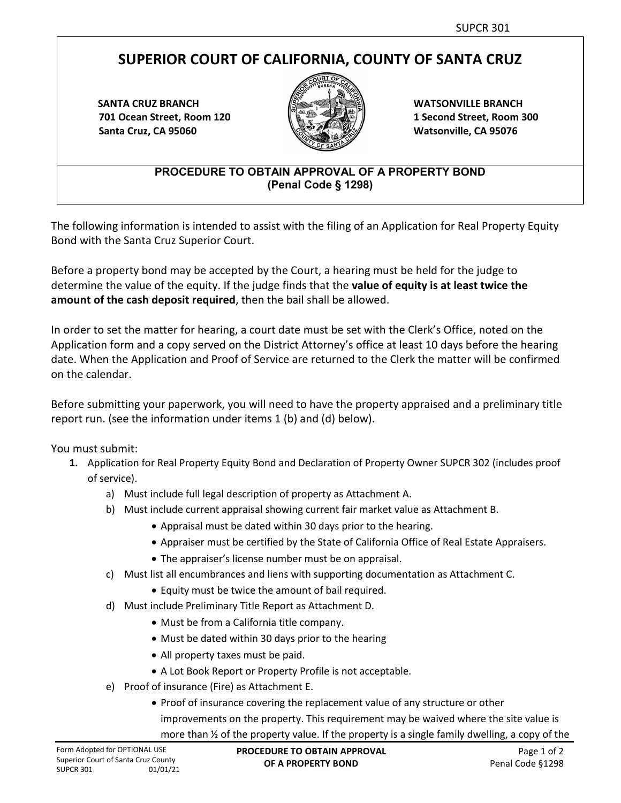## **SUPERIOR COURT OF CALIFORNIA, COUNTY OF SANTA CRUZ**

**SANTA CRUZ BRANCH 701 Ocean Street, Room 120 Santa Cruz, CA 95060**



**WATSONVILLE BRANCH 1 Second Street, Room 300 Watsonville, CA 95076**

## **PROCEDURE TO OBTAIN APPROVAL OF A PROPERTY BOND (Penal Code § 1298)**

The following information is intended to assist with the filing of an Application for Real Property Equity Bond with the Santa Cruz Superior Court.

Before a property bond may be accepted by the Court, a hearing must be held for the judge to determine the value of the equity. If the judge finds that the **value of equity is at least twice the amount of the cash deposit required**, then the bail shall be allowed.

In order to set the matter for hearing, a court date must be set with the Clerk's Office, noted on the Application form and a copy served on the District Attorney's office at least 10 days before the hearing date. When the Application and Proof of Service are returned to the Clerk the matter will be confirmed on the calendar.

Before submitting your paperwork, you will need to have the property appraised and a preliminary title report run. (see the information under items 1 (b) and (d) below).

You must submit:

- **1.** Application for Real Property Equity Bond and Declaration of Property Owner SUPCR 302 (includes proof of service).
	- a) Must include full legal description of property as Attachment A.
	- b) Must include current appraisal showing current fair market value as Attachment B.
		- Appraisal must be dated within 30 days prior to the hearing.
		- Appraiser must be certified by the State of California Office of Real Estate Appraisers.
		- The appraiser's license number must be on appraisal.
	- c) Must list all encumbrances and liens with supporting documentation as Attachment C.
		- Equity must be twice the amount of bail required.
	- d) Must include Preliminary Title Report as Attachment D.
		- Must be from a California title company.
		- Must be dated within 30 days prior to the hearing
		- All property taxes must be paid.
		- A Lot Book Report or Property Profile is not acceptable.
	- e) Proof of insurance (Fire) as Attachment E.
		- Proof of insurance covering the replacement value of any structure or other improvements on the property. This requirement may be waived where the site value is more than  $\frac{1}{2}$  of the property value. If the property is a single family dwelling, a copy of the